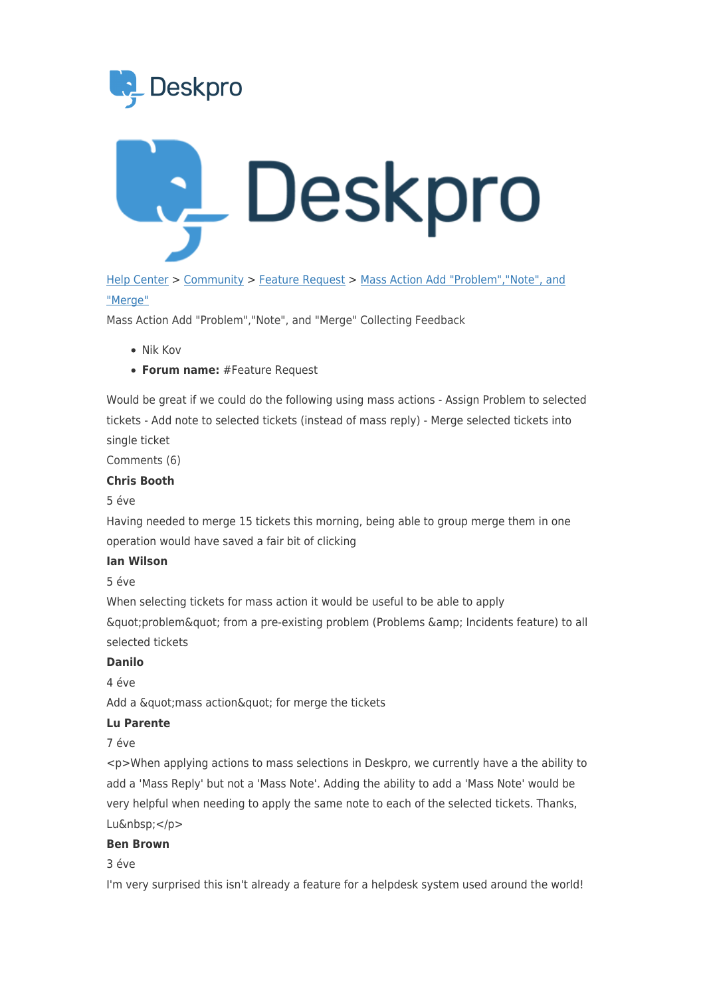



[Help Center](https://support.deskpro.com/hu) > [Community](https://support.deskpro.com/hu/community) > [Feature Request](https://support.deskpro.com/hu/community/browse/type-2/view-list/viewmode-compact) > [Mass Action Add "Problem","Note", and](https://support.deskpro.com/hu/community/view/mass-action-add-problem-note-and-merge) ["Merge"](https://support.deskpro.com/hu/community/view/mass-action-add-problem-note-and-merge)

Mass Action Add "Problem","Note", and "Merge" Collecting Feedback

- Nik Kov
- **Forum name:** #Feature Request

Would be great if we could do the following using mass actions - Assign Problem to selected tickets - Add note to selected tickets (instead of mass reply) - Merge selected tickets into single ticket

Comments (6)

#### **Chris Booth**

#### 5 éve

Having needed to merge 15 tickets this morning, being able to group merge them in one operation would have saved a fair bit of clicking

#### **Ian Wilson**

5 éve

When selecting tickets for mass action it would be useful to be able to apply  $\&$ quot;problem $\&$ quot; from a pre-existing problem (Problems  $\&$ amp; Incidents feature) to all selected tickets

### **Danilo**

 $4 \angle P$ 

Add a " mass action " for merge the tickets

## **Lu Parente**

7 éve

<p>When applying actions to mass selections in Deskpro, we currently have a the ability to add a 'Mass Reply' but not a 'Mass Note'. Adding the ability to add a 'Mass Note' would be very helpful when needing to apply the same note to each of the selected tickets. Thanks, Lu&nbsp:</p>

### **Ben Brown**

3 éve

I'm very surprised this isn't already a feature for a helpdesk system used around the world!